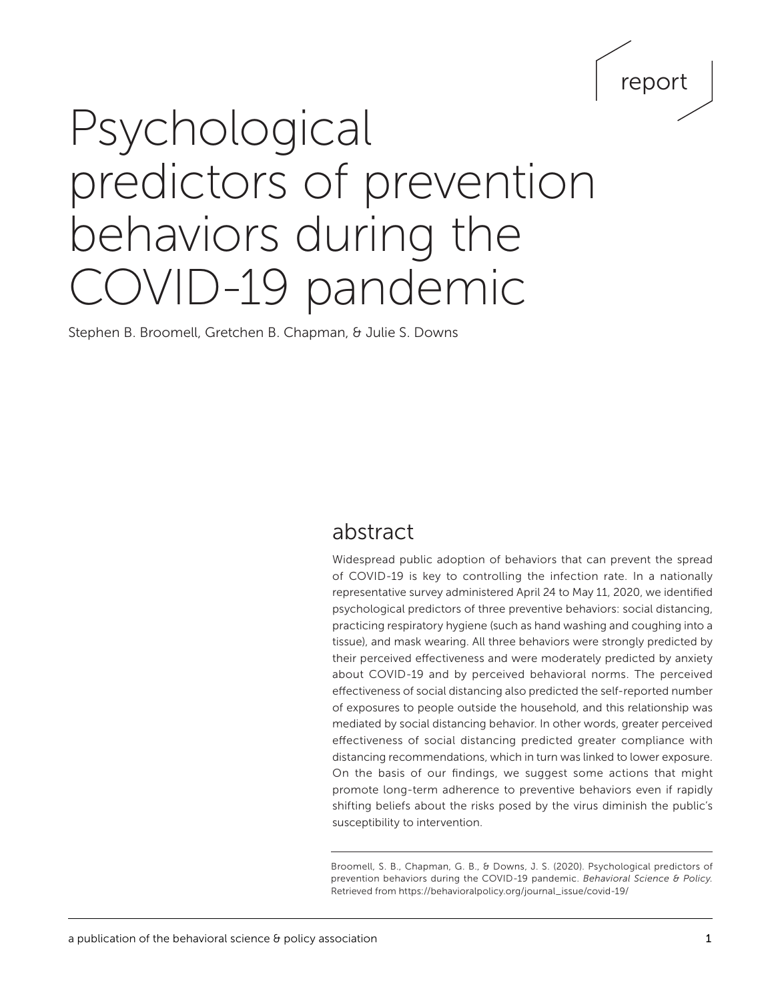## report

# Psychological predictors of prevention behaviors during the OVID-19 pandemic

Stephen B. Broomell, Gretchen B. Chapman, & Julie S. Downs

### abstract

Widespread public adoption of behaviors that can prevent the spread of COVID-19 is key to controlling the infection rate. In a nationally representative survey administered April 24 to May 11, 2020, we identified psychological predictors of three preventive behaviors: social distancing, practicing respiratory hygiene (such as hand washing and coughing into a tissue), and mask wearing. All three behaviors were strongly predicted by their perceived effectiveness and were moderately predicted by anxiety about COVID-19 and by perceived behavioral norms. The perceived effectiveness of social distancing also predicted the self-reported number of exposures to people outside the household, and this relationship was mediated by social distancing behavior. In other words, greater perceived effectiveness of social distancing predicted greater compliance with distancing recommendations, which in turn was linked to lower exposure. On the basis of our findings, we suggest some actions that might promote long-term adherence to preventive behaviors even if rapidly shifting beliefs about the risks posed by the virus diminish the public's susceptibility to intervention.

Broomell, S. B., Chapman, G. B., & Downs, J. S. (2020). Psychological predictors of prevention behaviors during the COVID-19 pandemic. *Behavioral Science & Policy.*  Retrieved from [https://behavioralpolicy.org/journal\\_issue/covid-19/](https://behavioralpolicy.org/journal_issue/covid-19/)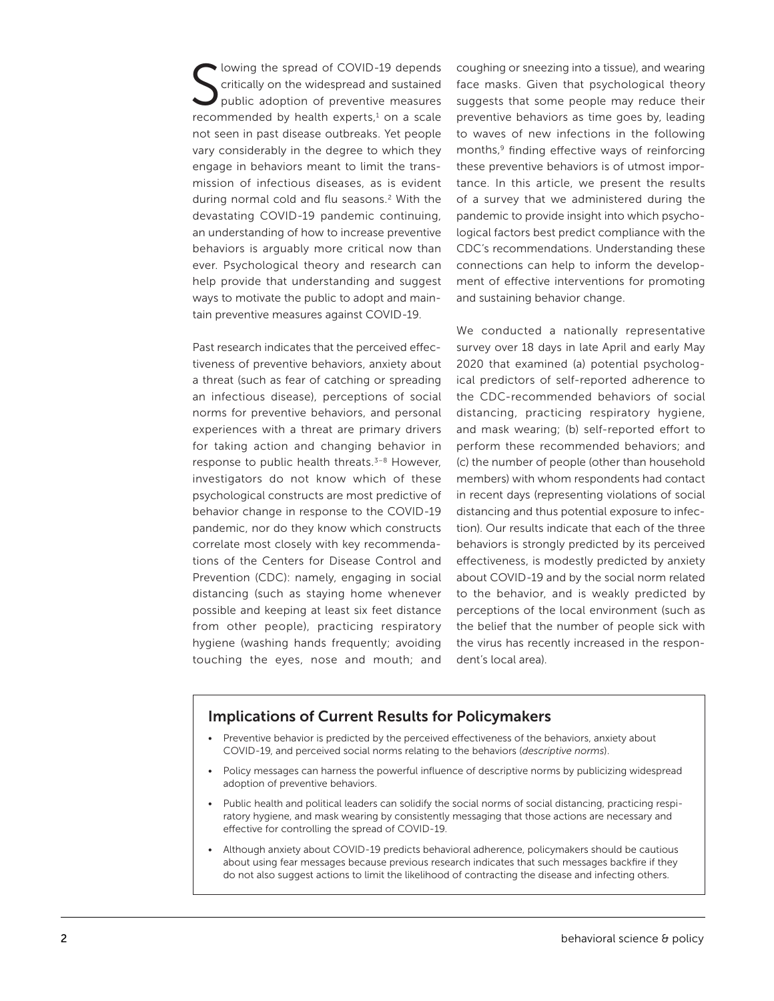S lowing the spread of COVID-19 depends critically on the widespread and sustained public adoption of preventive measures recommended by health experts, $1$  on a scale not seen in past disease outbreaks. Yet people vary considerably in the degree to which they engage in behaviors meant to limit the transmission of infectious diseases, as is evident during normal cold and flu seasons.<sup>2</sup> With the devastating COVID-19 pandemic continuing, an understanding of how to increase preventive behaviors is arguably more critical now than ever. Psychological theory and research can help provide that understanding and suggest ways to motivate the public to adopt and maintain preventive measures against COVID-19.

Past research indicates that the perceived effectiveness of preventive behaviors, anxiety about a threat (such as fear of catching or spreading an infectious disease), perceptions of social norms for preventive behaviors, and personal experiences with a threat are primary drivers for taking action and changing behavior in response to public health threats.<sup>3-8</sup> However, investigators do not know which of these psychological constructs are most predictive of behavior change in response to the COVID-19 pandemic, nor do they know which constructs correlate most closely with key recommendations of the Centers for Disease Control and Prevention (CDC): namely, engaging in social distancing (such as staying home whenever possible and keeping at least six feet distance from other people), practicing respiratory hygiene (washing hands frequently; avoiding touching the eyes, nose and mouth; and coughing or sneezing into a tissue), and wearing face masks. Given that psychological theory suggests that some people may reduce their preventive behaviors as time goes by, leading to waves of new infections in the following months,<sup>9</sup> finding effective ways of reinforcing these preventive behaviors is of utmost importance. In this article, we present the results of a survey that we administered during the pandemic to provide insight into which psychological factors best predict compliance with the CDC's recommendations. Understanding these connections can help to inform the development of effective interventions for promoting and sustaining behavior change.

We conducted a nationally representative survey over 18 days in late April and early May 2020 that examined (a) potential psychological predictors of self-reported adherence to the CDC-recommended behaviors of social distancing, practicing respiratory hygiene, and mask wearing; (b) self-reported effort to perform these recommended behaviors; and (c) the number of people (other than household members) with whom respondents had contact in recent days (representing violations of social distancing and thus potential exposure to infection). Our results indicate that each of the three behaviors is strongly predicted by its perceived effectiveness, is modestly predicted by anxiety about COVID-19 and by the social norm related to the behavior, and is weakly predicted by perceptions of the local environment (such as the belief that the number of people sick with the virus has recently increased in the respondent's local area).

#### Implications of Current Results for Policymakers

- Preventive behavior is predicted by the perceived effectiveness of the behaviors, anxiety about COVID-19, and perceived social norms relating to the behaviors (*descriptive norms*).
- Policy messages can harness the powerful influence of descriptive norms by publicizing widespread adoption of preventive behaviors.
- Public health and political leaders can solidify the social norms of social distancing, practicing respiratory hygiene, and mask wearing by consistently messaging that those actions are necessary and effective for controlling the spread of COVID-19.
- Although anxiety about COVID-19 predicts behavioral adherence, policymakers should be cautious about using fear messages because previous research indicates that such messages backfire if they do not also suggest actions to limit the likelihood of contracting the disease and infecting others.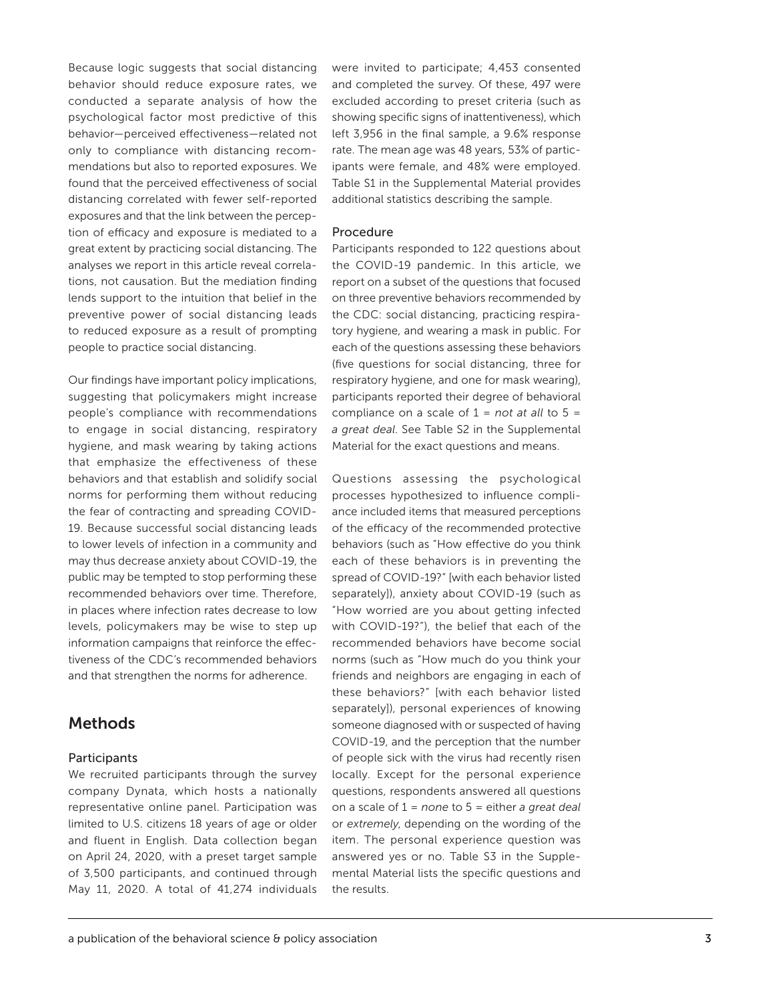Because logic suggests that social distancing behavior should reduce exposure rates, we conducted a separate analysis of how the psychological factor most predictive of this behavior—perceived effectiveness—related not only to compliance with distancing recommendations but also to reported exposures. We found that the perceived effectiveness of social distancing correlated with fewer self-reported exposures and that the link between the perception of efficacy and exposure is mediated to a great extent by practicing social distancing. The analyses we report in this article reveal correlations, not causation. But the mediation finding lends support to the intuition that belief in the preventive power of social distancing leads to reduced exposure as a result of prompting people to practice social distancing.

Our findings have important policy implications, suggesting that policymakers might increase people's compliance with recommendations to engage in social distancing, respiratory hygiene, and mask wearing by taking actions that emphasize the effectiveness of these behaviors and that establish and solidify social norms for performing them without reducing the fear of contracting and spreading COVID-19. Because successful social distancing leads to lower levels of infection in a community and may thus decrease anxiety about COVID-19, the public may be tempted to stop performing these recommended behaviors over time. Therefore, in places where infection rates decrease to low levels, policymakers may be wise to step up information campaigns that reinforce the effectiveness of the CDC's recommended behaviors and that strengthen the norms for adherence.

#### Methods

#### **Participants**

We recruited participants through the survey company Dynata, which hosts a nationally representative online panel. Participation was limited to U.S. citizens 18 years of age or older and fluent in English. Data collection began on April 24, 2020, with a preset target sample of 3,500 participants, and continued through May 11, 2020. A total of 41,274 individuals were invited to participate; 4,453 consented and completed the survey. Of these, 497 were excluded according to preset criteria (such as showing specific signs of inattentiveness), which left 3,956 in the final sample, a 9.6% response rate. The mean age was 48 years, 53% of participants were female, and 48% were employed. Table S1 in the Supplemental Material provides additional statistics describing the sample.

#### Procedure

Participants responded to 122 questions about the COVID-19 pandemic. In this article, we report on a subset of the questions that focused on three preventive behaviors recommended by the CDC: social distancing, practicing respiratory hygiene, and wearing a mask in public. For each of the questions assessing these behaviors (five questions for social distancing, three for respiratory hygiene, and one for mask wearing), participants reported their degree of behavioral compliance on a scale of 1 = *not at all* to 5 = *a great deal*. See Table S2 in the Supplemental Material for the exact questions and means.

Questions assessing the psychological processes hypothesized to influence compliance included items that measured perceptions of the efficacy of the recommended protective behaviors (such as "How effective do you think each of these behaviors is in preventing the spread of COVID-19?" [with each behavior listed separately]), anxiety about COVID-19 (such as "How worried are you about getting infected with COVID-19?"), the belief that each of the recommended behaviors have become social norms (such as "How much do you think your friends and neighbors are engaging in each of these behaviors?" [with each behavior listed separately]), personal experiences of knowing someone diagnosed with or suspected of having COVID-19, and the perception that the number of people sick with the virus had recently risen locally. Except for the personal experience questions, respondents answered all questions on a scale of 1 = *none* to 5 = either *a great deal* or *extremely*, depending on the wording of the item. The personal experience question was answered yes or no. Table S3 in the Supplemental Material lists the specific questions and the results.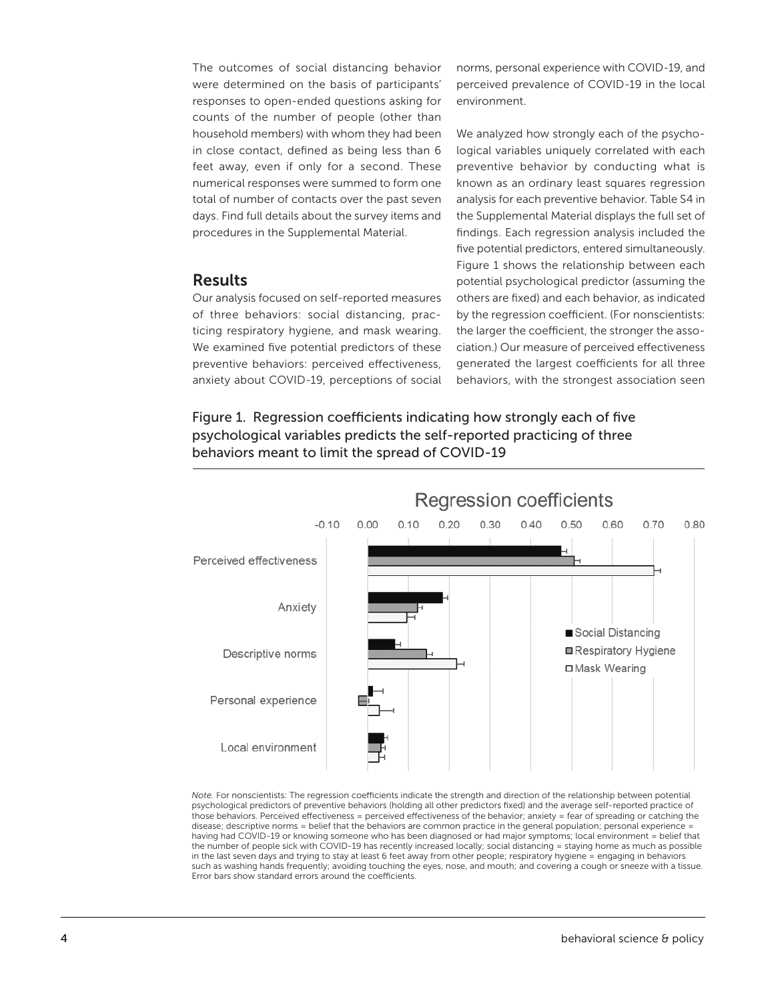The outcomes of social distancing behavior were determined on the basis of participants' responses to open-ended questions asking for counts of the number of people (other than household members) with whom they had been in close contact, defined as being less than 6 feet away, even if only for a second. These numerical responses were summed to form one total of number of contacts over the past seven days. Find full details about the survey items and procedures in the Supplemental Material.

#### Results

Our analysis focused on self-reported measures of three behaviors: social distancing, practicing respiratory hygiene, and mask wearing. We examined five potential predictors of these preventive behaviors: perceived effectiveness, anxiety about COVID-19, perceptions of social norms, personal experience with COVID-19, and perceived prevalence of COVID-19 in the local environment.

We analyzed how strongly each of the psychological variables uniquely correlated with each preventive behavior by conducting what is known as an ordinary least squares regression analysis for each preventive behavior. Table S4 in the Supplemental Material displays the full set of findings. Each regression analysis included the five potential predictors, entered simultaneously. Figure 1 shows the relationship between each potential psychological predictor (assuming the others are fixed) and each behavior, as indicated by the regression coefficient. (For nonscientists: the larger the coefficient, the stronger the association.) Our measure of perceived effectiveness generated the largest coefficients for all three behaviors, with the strongest association seen

Figure 1. Regression coefficients indicating how strongly each of five psychological variables predicts the self-reported practicing of three behaviors meant to limit the spread of COVID-19



Note. For nonscientists: The regression coefficients indicate the strength and direction of the relationship between potential psychological predictors of preventive behaviors (holding all other predictors fixed) and the average self-reported practice of those behaviors. Perceived effectiveness = perceived effectiveness of the behavior; anxiety = fear of spreading or catching the disease; descriptive norms = belief that the behaviors are common practice in the general population; personal experience = having had COVID-19 or knowing someone who has been diagnosed or had major symptoms; local environment = belief that the number of people sick with COVID-19 has recently increased locally; social distancing = staying home as much as possible the number of people sick with COVID-19 has recently increased locally; social distancing = staying home as much as possible<br>in the last seven days and trying to stay at least 6 feet away from other people; respiratory hyg such as washing hands frequently; avoiding touching the eyes, nose, and mouth; and covering a cough or sneeze with a tissue. Error bars show standard errors around the coefficients.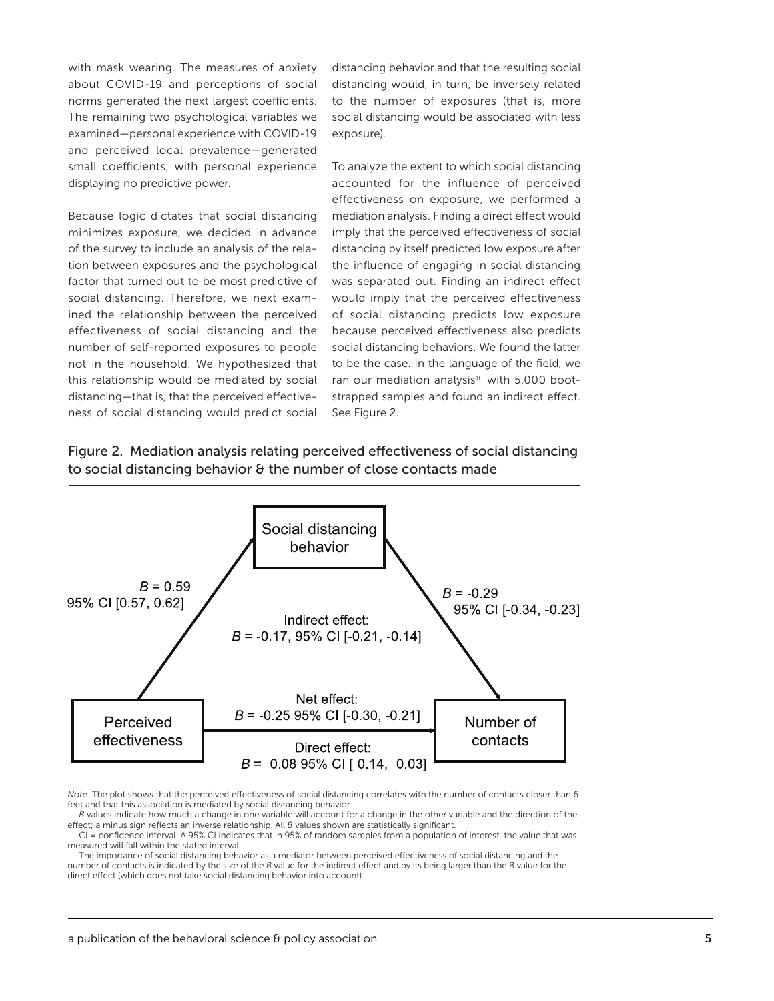with mask wearing. The measures of anxiety about COVID-19 and perceptions of social norms generated the next largest coefficients. The remaining two psychological variables we examined—personal experience with COVID-19 and perceived local prevalence—generated small coefficients, with personal experience displaying no predictive power.

Because logic dictates that social distancing minimizes exposure, we decided in advance of the survey to include an analysis of the relation between exposures and the psychological factor that turned out to be most predictive of social distancing. Therefore, we next examined the relationship between the perceived effectiveness of social distancing and the number of self-reported exposures to people not in the household. We hypothesized that this relationship would be mediated by social distancing—that is, that the perceived effectiveness of social distancing would predict social distancing behavior and that the resulting social distancing would, in turn, be inversely related to the number of exposures (that is, more social distancing would be associated with less exposure).

To analyze the extent to which social distancing accounted for the influence of perceived effectiveness on exposure, we performed a mediation analysis. Finding a direct effect would imply that the perceived effectiveness of social distancing by itself predicted low exposure after the influence of engaging in social distancing was separated out. Finding an indirect effect would imply that the perceived effectiveness of social distancing predicts low exposure because perceived effectiveness also predicts social distancing behaviors. We found the latter to be the case. In the language of the field, we ran our mediation analysis<sup>10</sup> with 5,000 bootstrapped samples and found an indirect effect. See Figure 2.

Figure 2. Mediation analysis relating perceived effectiveness of social distancing to social distancing behavior & the number of close contacts made



*Note.* The plot shows that the perceived effectiveness of social distancing correlates with the number of contacts closer than 6 feet and that this association is mediated by social distancing behavior.

*B* values indicate how much a change in one variable will account for a change in the other variable and the direction of the effect; a minus sign reflects an inverse relationship. All *B* values shown are statistically significant.

CI = confidence interval. A 95% CI indicates that in 95% of random samples from a population of interest, the value that was measured will fall within the stated interval.

The importance of social distancing behavior as a mediator between perceived effectiveness of social distancing and the number of contacts is indicated by the size of the *B* value for the indirect effect and by its being larger than the B value for the direct effect (which does not take social distancing behavior into account).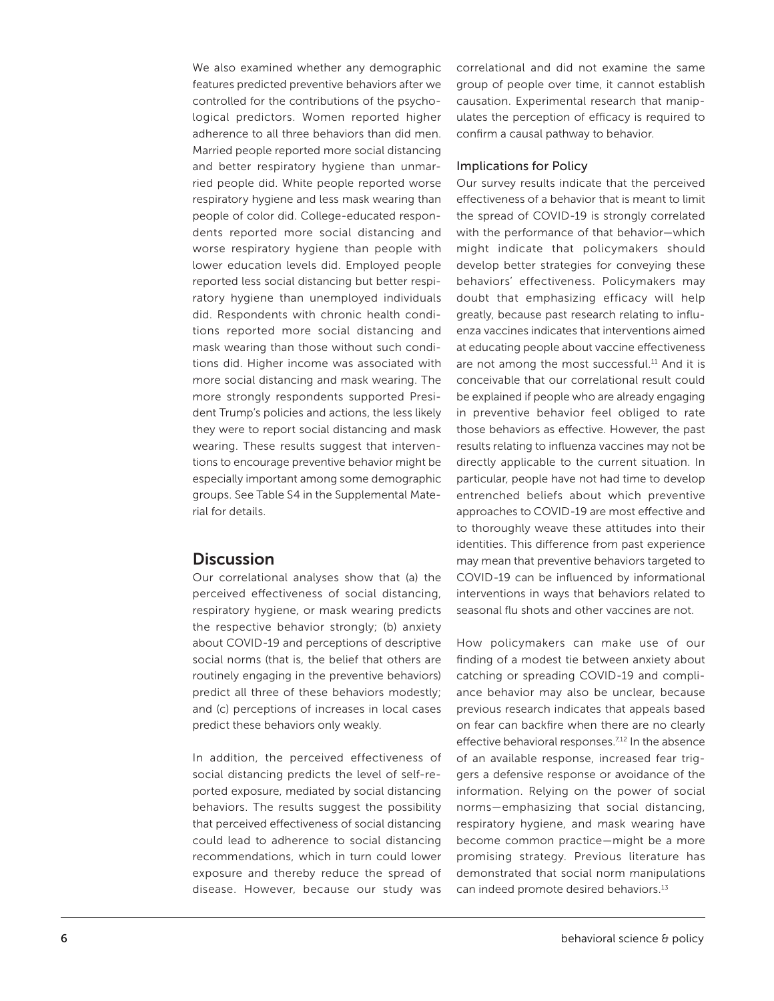We also examined whether any demographic features predicted preventive behaviors after we controlled for the contributions of the psychological predictors. Women reported higher adherence to all three behaviors than did men. Married people reported more social distancing and better respiratory hygiene than unmarried people did. White people reported worse respiratory hygiene and less mask wearing than people of color did. College-educated respondents reported more social distancing and worse respiratory hygiene than people with lower education levels did. Employed people reported less social distancing but better respiratory hygiene than unemployed individuals did. Respondents with chronic health conditions reported more social distancing and mask wearing than those without such conditions did. Higher income was associated with more social distancing and mask wearing. The more strongly respondents supported President Trump's policies and actions, the less likely they were to report social distancing and mask wearing. These results suggest that interventions to encourage preventive behavior might be especially important among some demographic groups. See Table S4 in the Supplemental Material for details.

#### **Discussion**

Our correlational analyses show that (a) the perceived effectiveness of social distancing, respiratory hygiene, or mask wearing predicts the respective behavior strongly; (b) anxiety about COVID-19 and perceptions of descriptive social norms (that is, the belief that others are routinely engaging in the preventive behaviors) predict all three of these behaviors modestly; and (c) perceptions of increases in local cases predict these behaviors only weakly.

In addition, the perceived effectiveness of social distancing predicts the level of self-reported exposure, mediated by social distancing behaviors. The results suggest the possibility that perceived effectiveness of social distancing could lead to adherence to social distancing recommendations, which in turn could lower exposure and thereby reduce the spread of disease. However, because our study was

correlational and did not examine the same group of people over time, it cannot establish causation. Experimental research that manipulates the perception of efficacy is required to confirm a causal pathway to behavior.

#### Implications for Policy

Our survey results indicate that the perceived effectiveness of a behavior that is meant to limit the spread of COVID-19 is strongly correlated with the performance of that behavior—which might indicate that policymakers should develop better strategies for conveying these behaviors' effectiveness. Policymakers may doubt that emphasizing efficacy will help greatly, because past research relating to influenza vaccines indicates that interventions aimed at educating people about vaccine effectiveness are not among the most successful.<sup>11</sup> And it is conceivable that our correlational result could be explained if people who are already engaging in preventive behavior feel obliged to rate those behaviors as effective. However, the past results relating to influenza vaccines may not be directly applicable to the current situation. In particular, people have not had time to develop entrenched beliefs about which preventive approaches to COVID-19 are most effective and to thoroughly weave these attitudes into their identities. This difference from past experience may mean that preventive behaviors targeted to COVID-19 can be influenced by informational interventions in ways that behaviors related to seasonal flu shots and other vaccines are not.

How policymakers can make use of our finding of a modest tie between anxiety about catching or spreading COVID-19 and compliance behavior may also be unclear, because previous research indicates that appeals based on fear can backfire when there are no clearly effective behavioral responses.<sup>7,12</sup> In the absence of an available response, increased fear triggers a defensive response or avoidance of the information. Relying on the power of social norms—emphasizing that social distancing, respiratory hygiene, and mask wearing have become common practice—might be a more promising strategy. Previous literature has demonstrated that social norm manipulations can indeed promote desired behaviors.<sup>13</sup>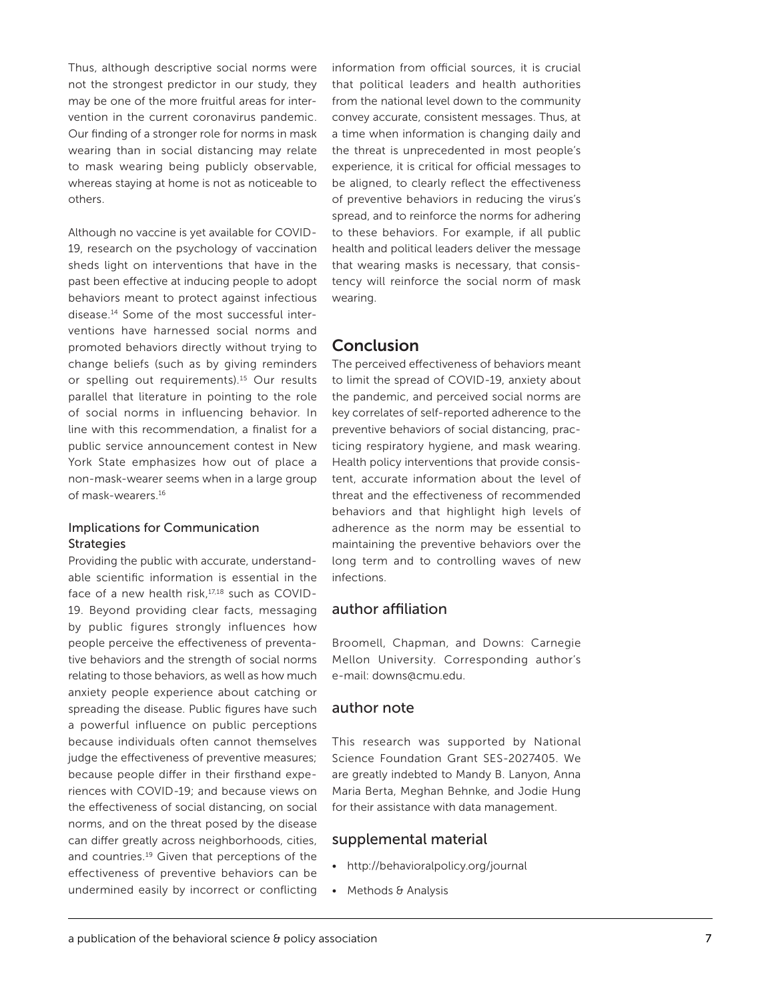Thus, although descriptive social norms were not the strongest predictor in our study, they may be one of the more fruitful areas for intervention in the current coronavirus pandemic. Our finding of a stronger role for norms in mask wearing than in social distancing may relate to mask wearing being publicly observable, whereas staying at home is not as noticeable to others.

Although no vaccine is yet available for COVID-19, research on the psychology of vaccination sheds light on interventions that have in the past been effective at inducing people to adopt behaviors meant to protect against infectious disease.14 Some of the most successful interventions have harnessed social norms and promoted behaviors directly without trying to change beliefs (such as by giving reminders or spelling out requirements).15 Our results parallel that literature in pointing to the role of social norms in influencing behavior. In line with this recommendation, a finalist for a public service announcement contest in New York State emphasizes how out of place a non-mask-wearer seems when in a large group of mask-wearers.16

#### Implications for Communication **Strategies**

Providing the public with accurate, understandable scientific information is essential in the face of a new health risk,<sup>17,18</sup> such as COVID-19. Beyond providing clear facts, messaging by public figures strongly influences how people perceive the effectiveness of preventative behaviors and the strength of social norms relating to those behaviors, as well as how much anxiety people experience about catching or spreading the disease. Public figures have such a powerful influence on public perceptions because individuals often cannot themselves judge the effectiveness of preventive measures; because people differ in their firsthand experiences with COVID-19; and because views on the effectiveness of social distancing, on social norms, and on the threat posed by the disease can differ greatly across neighborhoods, cities, and countries.19 Given that perceptions of the effectiveness of preventive behaviors can be undermined easily by incorrect or conflicting

information from official sources, it is crucial that political leaders and health authorities from the national level down to the community convey accurate, consistent messages. Thus, at a time when information is changing daily and the threat is unprecedented in most people's experience, it is critical for official messages to be aligned, to clearly reflect the effectiveness of preventive behaviors in reducing the virus's spread, and to reinforce the norms for adhering to these behaviors. For example, if all public health and political leaders deliver the message that wearing masks is necessary, that consistency will reinforce the social norm of mask wearing.

#### Conclusion

The perceived effectiveness of behaviors meant to limit the spread of COVID-19, anxiety about the pandemic, and perceived social norms are key correlates of self-reported adherence to the preventive behaviors of social distancing, practicing respiratory hygiene, and mask wearing. Health policy interventions that provide consistent, accurate information about the level of threat and the effectiveness of recommended behaviors and that highlight high levels of adherence as the norm may be essential to maintaining the preventive behaviors over the long term and to controlling waves of new infections.

#### author affiliation

Broomell, Chapman, and Downs: Carnegie Mellon University. Corresponding author's e-mail: downs@cmu.edu.

#### author note

This research was supported by National Science Foundation Grant SES-2027405. We are greatly indebted to Mandy B. Lanyon, Anna Maria Berta, Meghan Behnke, and Jodie Hung for their assistance with data management.

#### supplemental material

- <http://behavioralpolicy.org/journal>
- Methods & Analysis